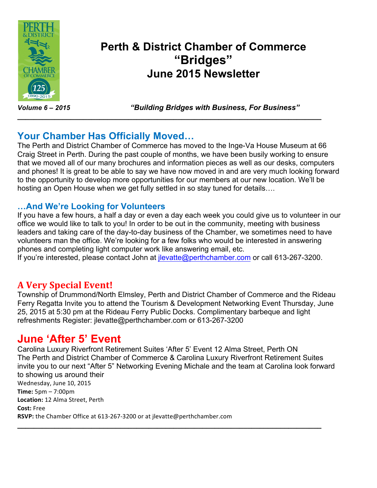

# **Perth & District Chamber of Commerce "Bridges" June 2015 Newsletter**

*Volume 6 – 2015 "Building Bridges with Business, For Business"*

## **Your Chamber Has Officially Moved…**

The Perth and District Chamber of Commerce has moved to the Inge-Va House Museum at 66 Craig Street in Perth. During the past couple of months, we have been busily working to ensure that we moved all of our many brochures and information pieces as well as our desks, computers and phones! It is great to be able to say we have now moved in and are very much looking forward to the opportunity to develop more opportunities for our members at our new location. We'll be hosting an Open House when we get fully settled in so stay tuned for details….

**\_\_\_\_\_\_\_\_\_\_\_\_\_\_\_\_\_\_\_\_\_\_\_\_\_\_\_\_\_\_\_\_\_\_\_\_\_\_\_\_\_\_\_\_\_\_\_\_\_\_\_\_\_\_\_\_\_\_\_\_\_\_\_\_\_\_\_\_\_\_\_\_\_\_**

## **…And We're Looking for Volunteers**

If you have a few hours, a half a day or even a day each week you could give us to volunteer in our office we would like to talk to you! In order to be out in the community, meeting with business leaders and taking care of the day-to-day business of the Chamber, we sometimes need to have volunteers man the office. We're looking for a few folks who would be interested in answering phones and completing light computer work like answering email, etc.

If you're interested, please contact John at *ilevatte@perthchamber.com* or call 613-267-3200.

## **A Very Special Event!**

Township of Drummond/North Elmsley, Perth and District Chamber of Commerce and the Rideau Ferry Regatta Invite you to attend the Tourism & Development Networking Event Thursday, June 25, 2015 at 5:30 pm at the Rideau Ferry Public Docks. Complimentary barbeque and light refreshments Register: jlevatte@perthchamber.com or 613-267-3200

# **June 'After 5' Event**

Carolina Luxury Riverfront Retirement Suites 'After 5' Event 12 Alma Street, Perth ON The Perth and District Chamber of Commerce & Carolina Luxury Riverfront Retirement Suites invite you to our next "After 5" Networking Evening Michale and the team at Carolina look forward to showing us around their Wednesday, June 10, 2015 **Time:** 5pm – 7:00pm Location: 12 Alma Street, Perth **Cost:** Free RSVP: the Chamber Office at 613-267-3200 or at jlevatte@perthchamber.com

**\_\_\_\_\_\_\_\_\_\_\_\_\_\_\_\_\_\_\_\_\_\_\_\_\_\_\_\_\_\_\_\_\_\_\_\_\_\_\_\_\_\_\_\_\_\_\_\_\_\_\_\_\_\_\_\_\_\_\_\_\_\_\_\_\_\_\_\_\_\_\_\_\_\_**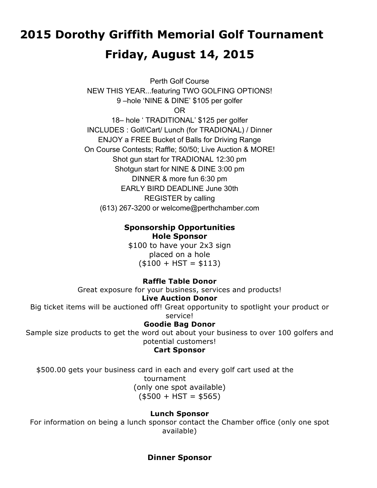# **2015 Dorothy Griffith Memorial Golf Tournament Friday, August 14, 2015**

Perth Golf Course NEW THIS YEAR...featuring TWO GOLFING OPTIONS! 9 –hole 'NINE & DINE' \$105 per golfer OR 18– hole ' TRADITIONAL' \$125 per golfer INCLUDES : Golf/Cart/ Lunch (for TRADIONAL) / Dinner ENJOY a FREE Bucket of Balls for Driving Range On Course Contests; Raffle; 50/50; Live Auction & MORE! Shot gun start for TRADIONAL 12:30 pm Shotgun start for NINE & DINE 3:00 pm DINNER & more fun 6:30 pm EARLY BIRD DEADLINE June 30th REGISTER by calling (613) 267-3200 or welcome@perthchamber.com

#### **Sponsorship Opportunities Hole Sponsor**

\$100 to have your 2x3 sign placed on a hole  $($100 + HST = $113)$ 

#### **Raffle Table Donor**

Great exposure for your business, services and products!

#### **Live Auction Donor**

Big ticket items will be auctioned off! Great opportunity to spotlight your product or service!

#### **Goodie Bag Donor**

Sample size products to get the word out about your business to over 100 golfers and potential customers!

#### **Cart Sponsor**

\$500.00 gets your business card in each and every golf cart used at the tournament (only one spot available)  $($500 + HST = $565)$ 

#### **Lunch Sponsor**

For information on being a lunch sponsor contact the Chamber office (only one spot available)

#### **Dinner Sponsor**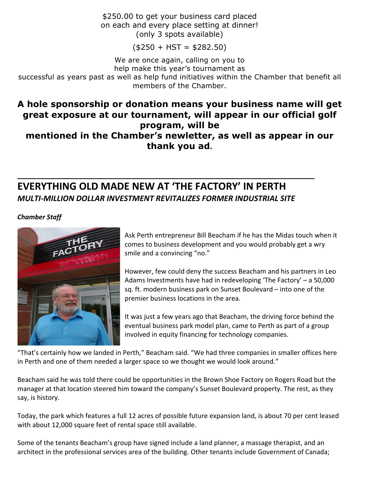\$250.00 to get your business card placed on each and every place setting at dinner! (only 3 spots available)

 $($250 + HST = $282.50)$ 

We are once again, calling on you to

help make this year's tournament as

successful as years past as well as help fund initiatives within the Chamber that benefit all members of the Chamber.

## **A hole sponsorship or donation means your business name will get great exposure at our tournament, will appear in our official golf program, will be mentioned in the Chamber's newletter, as well as appear in our thank you ad.**

## **EVERYTHING OLD MADE NEW AT 'THE FACTORY' IN PERTH** *MULTI-MILLION DOLLAR INVESTMENT REVITALIZES FORMER INDUSTRIAL SITE*

**\_\_\_\_\_\_\_\_\_\_\_\_\_\_\_\_\_\_\_\_\_\_\_\_\_\_\_\_\_\_\_\_\_\_\_\_\_\_\_\_\_\_\_\_\_\_\_\_\_\_\_\_\_\_\_\_\_\_\_\_\_\_**

*Chamber Staff*



Ask Perth entrepreneur Bill Beacham if he has the Midas touch when it comes to business development and you would probably get a wry smile and a convincing "no."

However, few could deny the success Beacham and his partners in Leo Adams Investments have had in redeveloping 'The Factory'  $-$  a 50,000 sq. ft. modern business park on Sunset Boulevard – into one of the premier business locations in the area.

It was just a few years ago that Beacham, the driving force behind the eventual business park model plan, came to Perth as part of a group involved in equity financing for technology companies.

"That's certainly how we landed in Perth," Beacham said. "We had three companies in smaller offices here in Perth and one of them needed a larger space so we thought we would look around."

Beacham said he was told there could be opportunities in the Brown Shoe Factory on Rogers Road but the manager at that location steered him toward the company's Sunset Boulevard property. The rest, as they say, is history.

Today, the park which features a full 12 acres of possible future expansion land, is about 70 per cent leased with about 12,000 square feet of rental space still available.

Some of the tenants Beacham's group have signed include a land planner, a massage therapist, and an architect in the professional services area of the building. Other tenants include Government of Canada;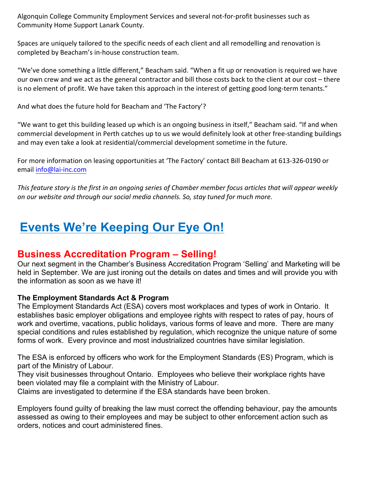Algonquin College Community Employment Services and several not-for-profit businesses such as Community Home Support Lanark County.

Spaces are uniquely tailored to the specific needs of each client and all remodelling and renovation is completed by Beacham's in-house construction team.

"We've done something a little different," Beacham said. "When a fit up or renovation is required we have our own crew and we act as the general contractor and bill those costs back to the client at our cost – there is no element of profit. We have taken this approach in the interest of getting good long-term tenants."

And what does the future hold for Beacham and 'The Factory'?

"We want to get this building leased up which is an ongoing business in itself," Beacham said. "If and when commercial development in Perth catches up to us we would definitely look at other free-standing buildings and may even take a look at residential/commercial development sometime in the future.

For more information on leasing opportunities at 'The Factory' contact Bill Beacham at 613-326-0190 or email info@lai-inc.com

This feature story is the first in an ongoing series of Chamber member focus articles that will appear weekly on our website and through our social media channels. So, stay tuned for much more.

# **Events We're Keeping Our Eye On!**

## **Business Accreditation Program – Selling!**

Our next segment in the Chamber's Business Accreditation Program 'Selling' and Marketing will be held in September. We are just ironing out the details on dates and times and will provide you with the information as soon as we have it!

#### **The Employment Standards Act & Program**

The Employment Standards Act (ESA) covers most workplaces and types of work in Ontario. It establishes basic employer obligations and employee rights with respect to rates of pay, hours of work and overtime, vacations, public holidays, various forms of leave and more. There are many special conditions and rules established by regulation, which recognize the unique nature of some forms of work. Every province and most industrialized countries have similar legislation.

The ESA is enforced by officers who work for the Employment Standards (ES) Program, which is part of the Ministry of Labour.

They visit businesses throughout Ontario. Employees who believe their workplace rights have been violated may file a complaint with the Ministry of Labour.

Claims are investigated to determine if the ESA standards have been broken.

Employers found guilty of breaking the law must correct the offending behaviour, pay the amounts assessed as owing to their employees and may be subject to other enforcement action such as orders, notices and court administered fines.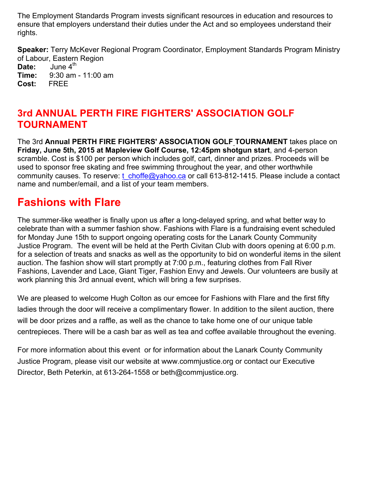The Employment Standards Program invests significant resources in education and resources to ensure that employers understand their duties under the Act and so employees understand their rights.

**Speaker:** Terry McKever Regional Program Coordinator, Employment Standards Program Ministry of Labour, Eastern Region **Date:** June 4<sup>th</sup> **Time:** 9:30 am - 11:00 am **Cost:** FREE

## **3rd ANNUAL PERTH FIRE FIGHTERS' ASSOCIATION GOLF TOURNAMENT**

The 3rd **Annual PERTH FIRE FIGHTERS' ASSOCIATION GOLF TOURNAMENT** takes place on **Friday, June 5th, 2015 at Mapleview Golf Course, 12:45pm shotgun start**, and 4-person scramble. Cost is \$100 per person which includes golf, cart, dinner and prizes. Proceeds will be used to sponsor free skating and free swimming throughout the year, and other worthwhile community causes. To reserve: t\_choffe@yahoo.ca or call 613-812-1415. Please include a contact name and number/email, and a list of your team members.

# **Fashions with Flare**

The summer-like weather is finally upon us after a long-delayed spring, and what better way to celebrate than with a summer fashion show. Fashions with Flare is a fundraising event scheduled for Monday June 15th to support ongoing operating costs for the Lanark County Community Justice Program. The event will be held at the Perth Civitan Club with doors opening at 6:00 p.m. for a selection of treats and snacks as well as the opportunity to bid on wonderful items in the silent auction. The fashion show will start promptly at 7:00 p.m., featuring clothes from Fall River Fashions, Lavender and Lace, Giant Tiger, Fashion Envy and Jewels. Our volunteers are busily at work planning this 3rd annual event, which will bring a few surprises.

We are pleased to welcome Hugh Colton as our emcee for Fashions with Flare and the first fifty ladies through the door will receive a complimentary flower. In addition to the silent auction, there will be door prizes and a raffle, as well as the chance to take home one of our unique table centrepieces. There will be a cash bar as well as tea and coffee available throughout the evening.

For more information about this event or for information about the Lanark County Community Justice Program, please visit our website at www.commjustice.org or contact our Executive Director, Beth Peterkin, at 613-264-1558 or beth@commjustice.org.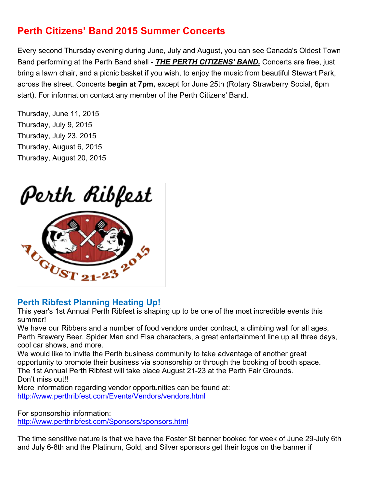## **Perth Citizens' Band 2015 Summer Concerts**

Every second Thursday evening during June, July and August, you can see Canada's Oldest Town Band performing at the Perth Band shell - *THE PERTH CITIZENS' BAND.* Concerts are free, just bring a lawn chair, and a picnic basket if you wish, to enjoy the music from beautiful Stewart Park, across the street. Concerts **begin at 7pm,** except for June 25th (Rotary Strawberry Social, 6pm start). For information contact any member of the Perth Citizens' Band.

Thursday, June 11, 2015 Thursday, July 9, 2015 Thursday, July 23, 2015 Thursday, August 6, 2015 Thursday, August 20, 2015

# Perth Ribfest



## **Perth Ribfest Planning Heating Up!**

This year's 1st Annual Perth Ribfest is shaping up to be one of the most incredible events this summer!

We have our Ribbers and a number of food vendors under contract, a climbing wall for all ages, Perth Brewery Beer, Spider Man and Elsa characters, a great entertainment line up all three days, cool car shows, and more.

We would like to invite the Perth business community to take advantage of another great opportunity to promote their business via sponsorship or through the booking of booth space. The 1st Annual Perth Ribfest will take place August 21-23 at the Perth Fair Grounds. Don't miss out!!

More information regarding vendor opportunities can be found at: http://www.perthribfest.com/Events/Vendors/vendors.html

For sponsorship information: http://www.perthribfest.com/Sponsors/sponsors.html

The time sensitive nature is that we have the Foster St banner booked for week of June 29-July 6th and July 6-8th and the Platinum, Gold, and Silver sponsors get their logos on the banner if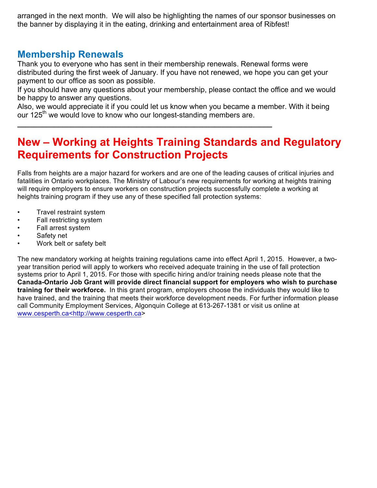arranged in the next month. We will also be highlighting the names of our sponsor businesses on the banner by displaying it in the eating, drinking and entertainment area of Ribfest!

## **Membership Renewals**

Thank you to everyone who has sent in their membership renewals. Renewal forms were distributed during the first week of January. If you have not renewed, we hope you can get your payment to our office as soon as possible.

If you should have any questions about your membership, please contact the office and we would be happy to answer any questions.

Also, we would appreciate it if you could let us know when you became a member. With it being our 125<sup>th</sup> we would love to know who our longest-standing members are.

**\_\_\_\_\_\_\_\_\_\_\_\_\_\_\_\_\_\_\_\_\_\_\_\_\_\_\_\_\_\_\_\_\_\_\_\_\_\_\_\_\_\_\_\_\_\_\_\_\_\_\_\_\_\_\_\_\_\_\_\_\_\_**

# **New – Working at Heights Training Standards and Regulatory Requirements for Construction Projects**

Falls from heights are a major hazard for workers and are one of the leading causes of critical injuries and fatalities in Ontario workplaces. The Ministry of Labour's new requirements for working at heights training will require employers to ensure workers on construction projects successfully complete a working at heights training program if they use any of these specified fall protection systems:

- Travel restraint system
- Fall restricting system
- Fall arrest system
- Safety net
- Work belt or safety belt

The new mandatory working at heights training regulations came into effect April 1, 2015. However, a twoyear transition period will apply to workers who received adequate training in the use of fall protection systems prior to April 1, 2015. For those with specific hiring and/or training needs please note that the **Canada-Ontario Job Grant will provide direct financial support for employers who wish to purchase training for their workforce.** In this grant program, employers choose the individuals they would like to have trained, and the training that meets their workforce development needs. For further information please call Community Employment Services, Algonquin College at 613-267-1381 or visit us online at www.cesperth.ca<http://www.cesperth.ca>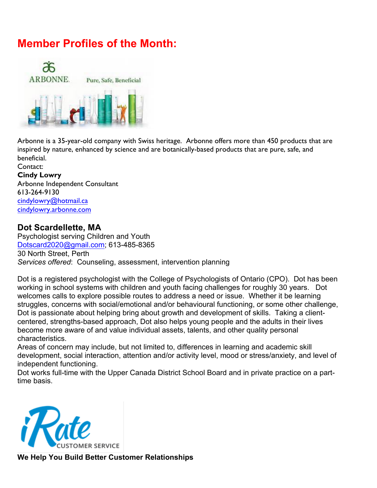# **Member Profiles of the Month:**



Arbonne is a 35-year-old company with Swiss heritage. Arbonne offers more than 450 products that are inspired by nature, enhanced by science and are botanically-based products that are pure, safe, and beneficial.

Contact: **Cindy Lowry** Arbonne Independent Consultant 613-264-9130 cindylowry@hotmail.ca cindylowry.arbonne.com

#### **Dot Scardellette, MA**

Psychologist serving Children and Youth Dotscard2020@gmail.com; 613-485-8365 30 North Street, Perth *Services offered*: Counseling, assessment, intervention planning

Dot is a registered psychologist with the College of Psychologists of Ontario (CPO). Dot has been working in school systems with children and youth facing challenges for roughly 30 years. Dot welcomes calls to explore possible routes to address a need or issue. Whether it be learning struggles, concerns with social/emotional and/or behavioural functioning, or some other challenge, Dot is passionate about helping bring about growth and development of skills. Taking a clientcentered, strengths-based approach, Dot also helps young people and the adults in their lives become more aware of and value individual assets, talents, and other quality personal characteristics.

Areas of concern may include, but not limited to, differences in learning and academic skill development, social interaction, attention and/or activity level, mood or stress/anxiety, and level of independent functioning.

Dot works full-time with the Upper Canada District School Board and in private practice on a parttime basis.



**We Help You Build Better Customer Relationships**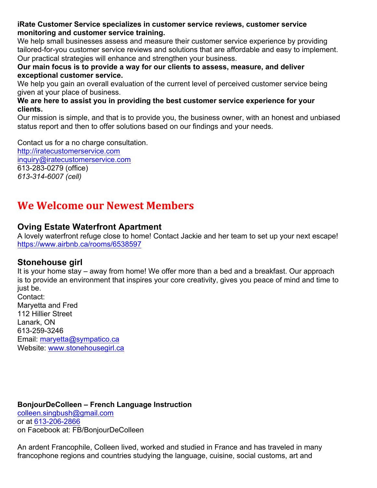**iRate Customer Service specializes in customer service reviews, customer service monitoring and customer service training.**

We help small businesses assess and measure their customer service experience by providing tailored-for-you customer service reviews and solutions that are affordable and easy to implement. Our practical strategies will enhance and strengthen your business.

**Our main focus is to provide a way for our clients to assess, measure, and deliver exceptional customer service.**

We help you gain an overall evaluation of the current level of perceived customer service being given at your place of business.

**We are here to assist you in providing the best customer service experience for your clients.** 

Our mission is simple, and that is to provide you, the business owner, with an honest and unbiased status report and then to offer solutions based on our findings and your needs.

Contact us for a no charge consultation.

http://iratecustomerservice.com inquiry@iratecustomerservice.com 613-283-0279 (office) *613-314-6007 (cell)*

# **We Welcome our Newest Members**

#### **Oving Estate Waterfront Apartment**

A lovely waterfront refuge close to home! Contact Jackie and her team to set up your next escape! https://www.airbnb.ca/rooms/6538597

#### **Stonehouse girl**

It is your home stay – away from home! We offer more than a bed and a breakfast. Our approach is to provide an environment that inspires your core creativity, gives you peace of mind and time to just be.

Contact: Maryetta and Fred 112 Hillier Street Lanark, ON 613-259-3246 Email: maryetta@sympatico.ca Website: www.stonehousegirl.ca

**BonjourDeColleen – French Language Instruction** colleen.singbush@gmail.com

or at 613-206-2866 on Facebook at: FB/BonjourDeColleen

An ardent Francophile, Colleen lived, worked and studied in France and has traveled in many francophone regions and countries studying the language, cuisine, social customs, art and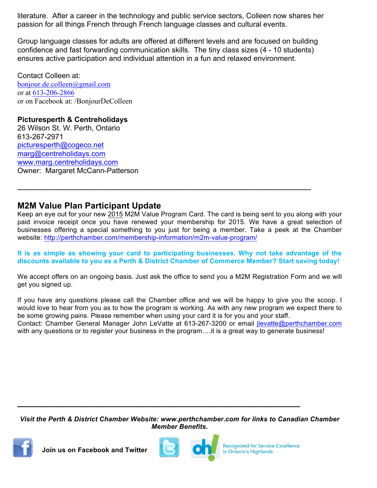literature. After a career in the technology and public service sectors, Colleen now shares her passion for all things French through French language classes and cultural events.

Group language classes for adults are offered at different levels and are focused on building confidence and fast forwarding communication skills. The tiny class sizes (4 - 10 students) ensures active participation and individual attention in a fun and relaxed environment.

Contact Colleen at: bonjour.de.colleen@gmail.com or at 613-206-2866 or on Facebook at: /BonjourDeColleen

#### **Picturesperth & Centreholidays**

26 Wilson St. W. Perth, Ontario 613-267-2971 picturesperth@cogeco.net marg@centreholidays.com www.marg.centreholidays.com Owner: Margaret McCann-Patterson

## **M2M Value Plan Participant Update**

Keep an eye out for your new 2015 M2M Value Program Card. The card is being sent to you along with your paid invoice receipt once you have renewed your membership for 2015. We have a great selection of businesses offering a special something to you just for being a member. Take a peek at the Chamber website: http://perthchamber.com/membership-information/m2m-value-program/

**\_\_\_\_\_\_\_\_\_\_\_\_\_\_\_\_\_\_\_\_\_\_\_\_\_\_\_\_\_\_\_\_\_\_\_\_\_\_\_\_\_\_\_\_\_\_\_\_\_\_\_\_\_\_\_\_\_\_\_\_\_\_\_\_\_\_\_\_\_\_\_\_\_\_\_\_\_\_**

**It is as simple as showing your card to participating businesses. Why not take advantage of the discounts available to you as a Perth & District Chamber of Commerce Member? Start saving today!**

We accept offers on an ongoing basis. Just ask the office to send you a M2M Registration Form and we will get you signed up.

If you have any questions please call the Chamber office and we will be happy to give you the scoop. I would love to hear from you as to how the program is working. As with any new program we expect there to be some growing pains. Please remember when using your card it is for you and your staff. Contact: Chamber General Manager John LeVatte at 613-267-3200 or email jlevatte@perthchamber.com with any questions or to register your business in the program....it is a great way to generate business!

*Visit the Perth & District Chamber Website: www.perthchamber.com for links to Canadian Chamber Member Benefits***.**

**\_\_\_\_\_\_\_\_\_\_\_\_\_\_\_\_\_\_\_\_\_\_\_\_\_\_\_\_\_\_\_\_\_\_\_\_\_\_\_\_\_\_\_\_\_\_\_\_\_\_\_\_\_\_\_\_\_\_\_**



 **Join us on Facebook and Twitter**



**Recognized for Service Excellence** in Ontario's Highlands